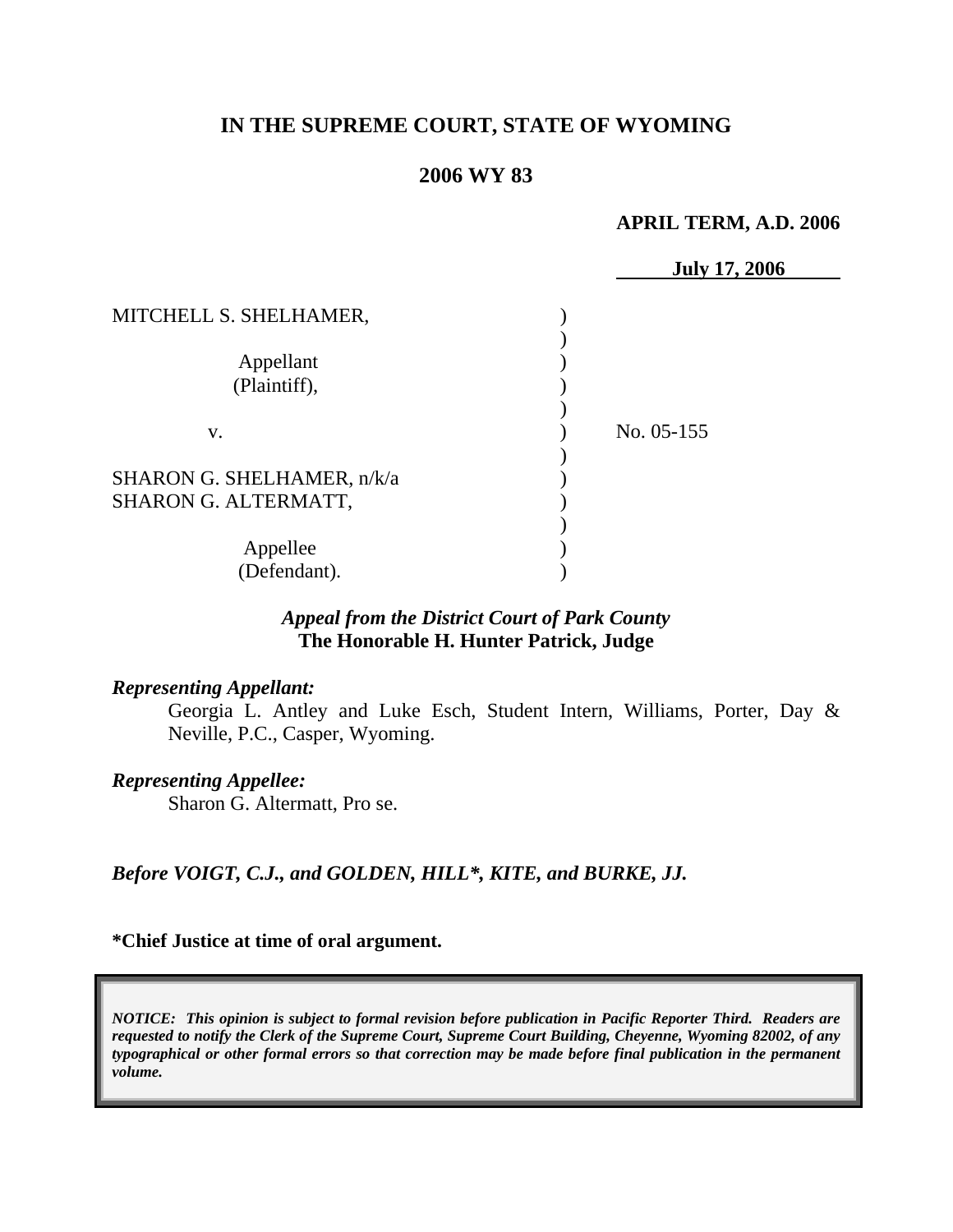# **IN THE SUPREME COURT, STATE OF WYOMING**

## **2006 WY 83**

#### **APRIL TERM, A.D. 2006**

|                            | <b>July 17, 2006</b> |
|----------------------------|----------------------|
| MITCHELL S. SHELHAMER,     |                      |
|                            |                      |
| Appellant                  |                      |
| (Plaintiff),               |                      |
|                            |                      |
| V.                         | No. 05-155           |
|                            |                      |
| SHARON G. SHELHAMER, n/k/a |                      |
| SHARON G. ALTERMATT,       |                      |
|                            |                      |
| Appellee                   |                      |
| (Defendant).               |                      |

## *Appeal from the District Court of Park County* **The Honorable H. Hunter Patrick, Judge**

### *Representing Appellant:*

Georgia L. Antley and Luke Esch, Student Intern, Williams, Porter, Day & Neville, P.C., Casper, Wyoming.

# *Representing Appellee:*

Sharon G. Altermatt, Pro se.

*Before VOIGT, C.J., and GOLDEN, HILL\*, KITE, and BURKE, JJ.* 

#### **\*Chief Justice at time of oral argument.**

*NOTICE: This opinion is subject to formal revision before publication in Pacific Reporter Third. Readers are requested to notify the Clerk of the Supreme Court, Supreme Court Building, Cheyenne, Wyoming 82002, of any typographical or other formal errors so that correction may be made before final publication in the permanent volume.*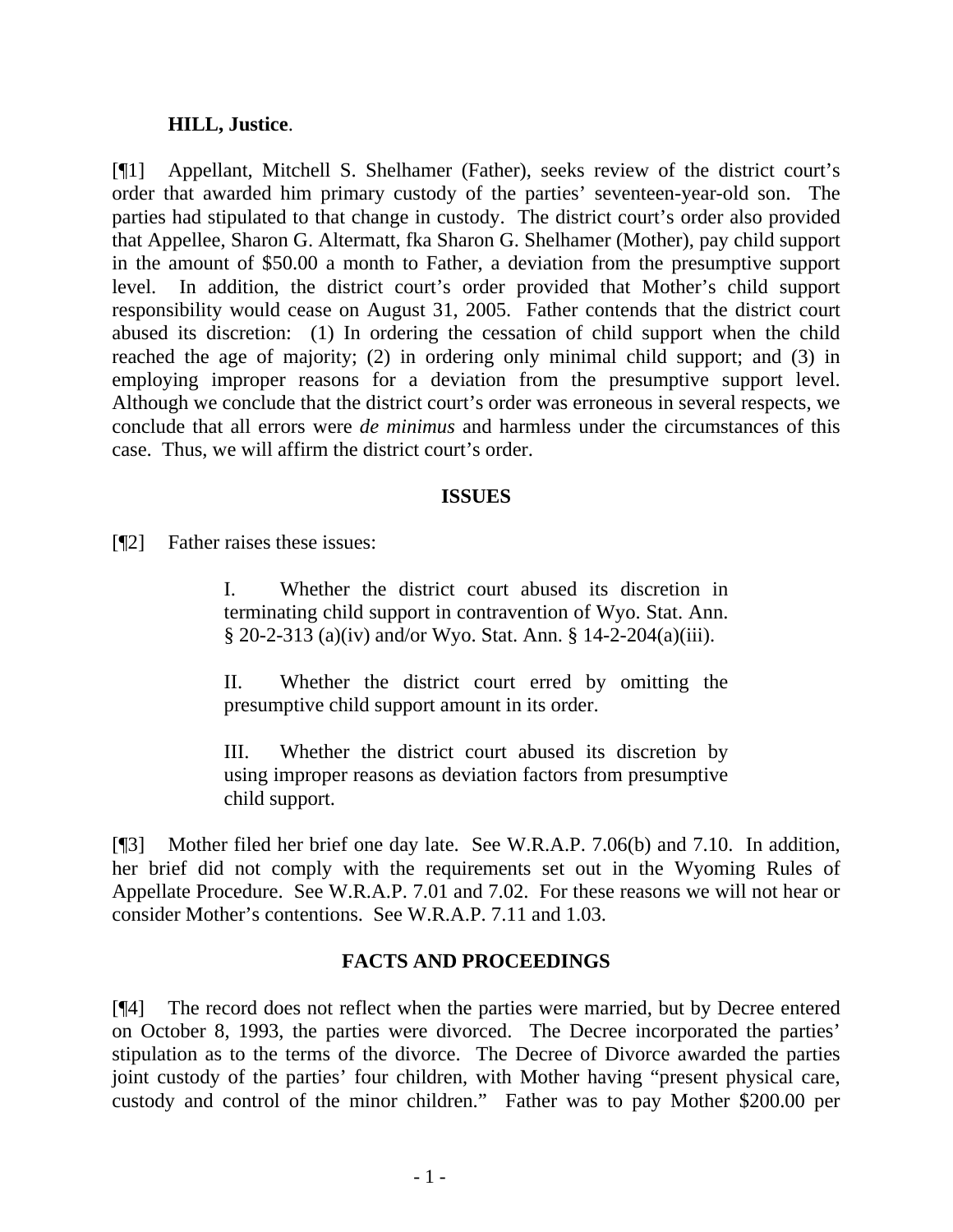### **HILL, Justice**.

[¶1] Appellant, Mitchell S. Shelhamer (Father), seeks review of the district court's order that awarded him primary custody of the parties' seventeen-year-old son. The parties had stipulated to that change in custody. The district court's order also provided that Appellee, Sharon G. Altermatt, fka Sharon G. Shelhamer (Mother), pay child support in the amount of \$50.00 a month to Father, a deviation from the presumptive support level. In addition, the district court's order provided that Mother's child support responsibility would cease on August 31, 2005. Father contends that the district court abused its discretion: (1) In ordering the cessation of child support when the child reached the age of majority; (2) in ordering only minimal child support; and (3) in employing improper reasons for a deviation from the presumptive support level. Although we conclude that the district court's order was erroneous in several respects, we conclude that all errors were *de minimus* and harmless under the circumstances of this case. Thus, we will affirm the district court's order.

## **ISSUES**

[¶2] Father raises these issues:

I. Whether the district court abused its discretion in terminating child support in contravention of Wyo. Stat. Ann. § 20-2-313 (a)(iv) and/or Wyo. Stat. Ann. § 14-2-204(a)(iii).

II. Whether the district court erred by omitting the presumptive child support amount in its order.

III. Whether the district court abused its discretion by using improper reasons as deviation factors from presumptive child support.

[¶3] Mother filed her brief one day late. See W.R.A.P. 7.06(b) and 7.10. In addition, her brief did not comply with the requirements set out in the Wyoming Rules of Appellate Procedure. See W.R.A.P. 7.01 and 7.02. For these reasons we will not hear or consider Mother's contentions. See W.R.A.P. 7.11 and 1.03.

# **FACTS AND PROCEEDINGS**

[¶4] The record does not reflect when the parties were married, but by Decree entered on October 8, 1993, the parties were divorced. The Decree incorporated the parties' stipulation as to the terms of the divorce. The Decree of Divorce awarded the parties joint custody of the parties' four children, with Mother having "present physical care, custody and control of the minor children." Father was to pay Mother \$200.00 per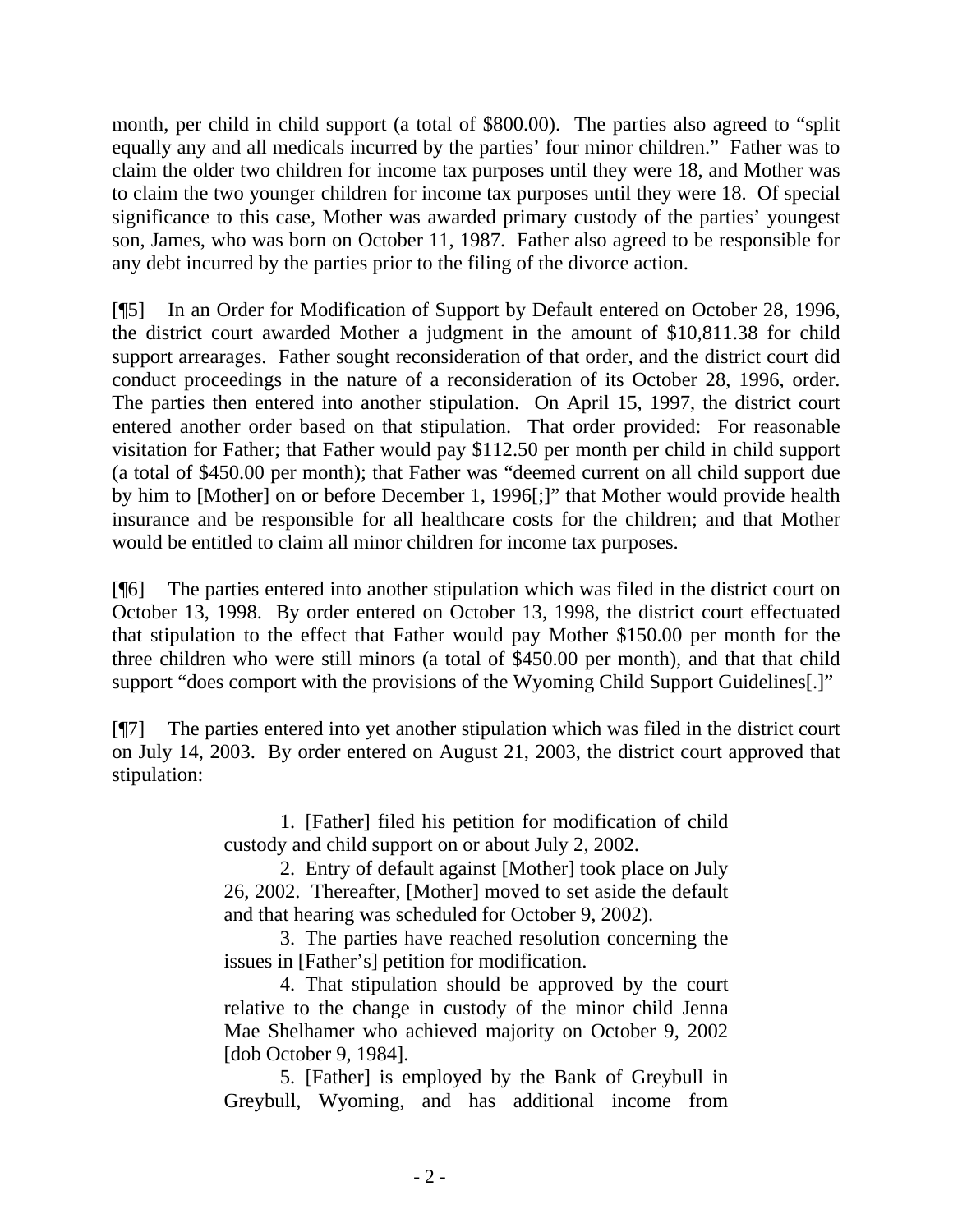month, per child in child support (a total of \$800.00). The parties also agreed to "split equally any and all medicals incurred by the parties' four minor children." Father was to claim the older two children for income tax purposes until they were 18, and Mother was to claim the two younger children for income tax purposes until they were 18. Of special significance to this case, Mother was awarded primary custody of the parties' youngest son, James, who was born on October 11, 1987. Father also agreed to be responsible for any debt incurred by the parties prior to the filing of the divorce action.

[¶5] In an Order for Modification of Support by Default entered on October 28, 1996, the district court awarded Mother a judgment in the amount of \$10,811.38 for child support arrearages. Father sought reconsideration of that order, and the district court did conduct proceedings in the nature of a reconsideration of its October 28, 1996, order. The parties then entered into another stipulation. On April 15, 1997, the district court entered another order based on that stipulation. That order provided: For reasonable visitation for Father; that Father would pay \$112.50 per month per child in child support (a total of \$450.00 per month); that Father was "deemed current on all child support due by him to [Mother] on or before December 1, 1996[;]" that Mother would provide health insurance and be responsible for all healthcare costs for the children; and that Mother would be entitled to claim all minor children for income tax purposes.

[¶6] The parties entered into another stipulation which was filed in the district court on October 13, 1998. By order entered on October 13, 1998, the district court effectuated that stipulation to the effect that Father would pay Mother \$150.00 per month for the three children who were still minors (a total of \$450.00 per month), and that that child support "does comport with the provisions of the Wyoming Child Support Guidelines[.]"

[¶7] The parties entered into yet another stipulation which was filed in the district court on July 14, 2003. By order entered on August 21, 2003, the district court approved that stipulation:

> 1. [Father] filed his petition for modification of child custody and child support on or about July 2, 2002.

> 2. Entry of default against [Mother] took place on July 26, 2002. Thereafter, [Mother] moved to set aside the default and that hearing was scheduled for October 9, 2002).

> 3. The parties have reached resolution concerning the issues in [Father's] petition for modification.

> 4. That stipulation should be approved by the court relative to the change in custody of the minor child Jenna Mae Shelhamer who achieved majority on October 9, 2002 [dob October 9, 1984].

> 5. [Father] is employed by the Bank of Greybull in Greybull, Wyoming, and has additional income from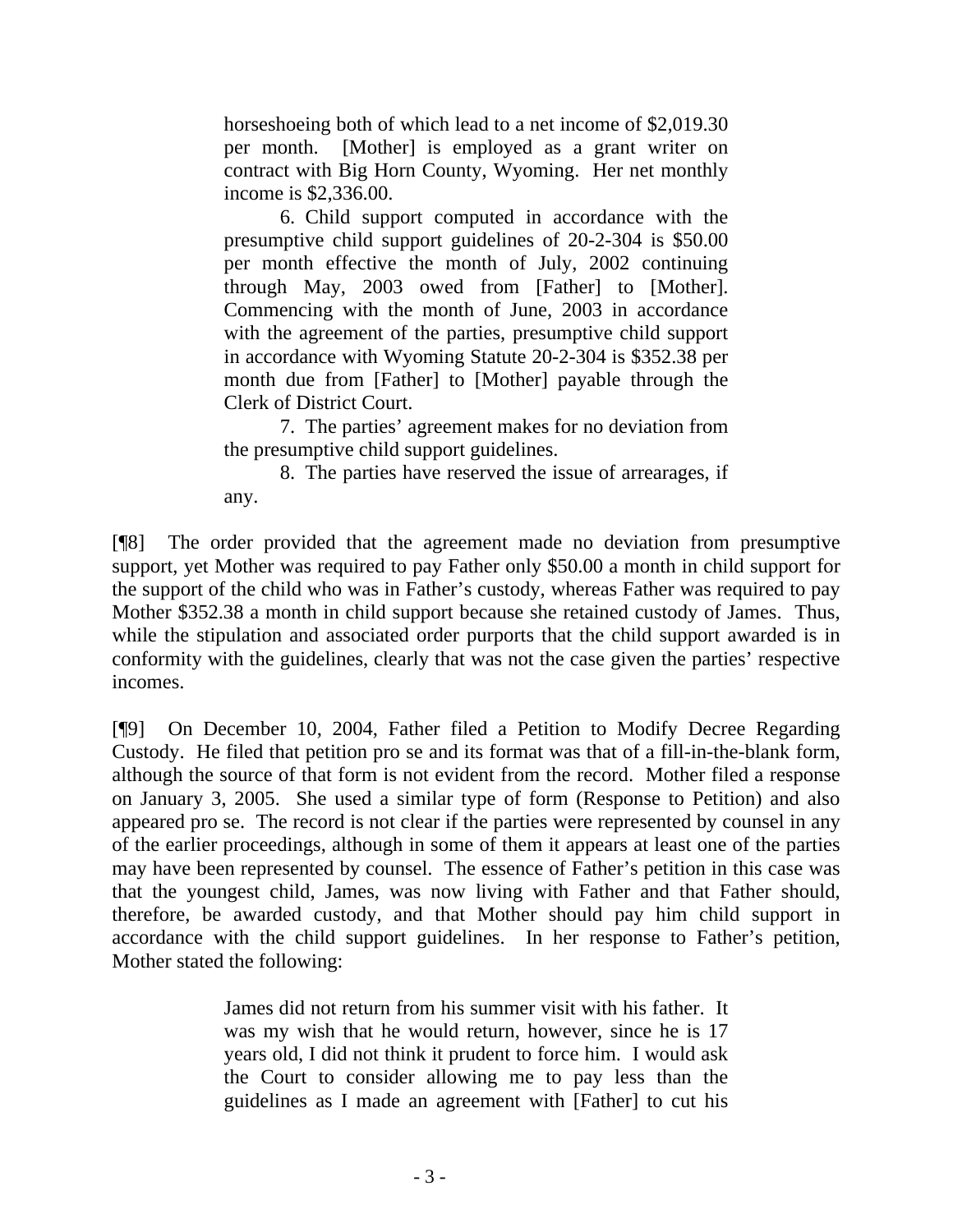horseshoeing both of which lead to a net income of \$2,019.30 per month. [Mother] is employed as a grant writer on contract with Big Horn County, Wyoming. Her net monthly income is \$2,336.00.

6. Child support computed in accordance with the presumptive child support guidelines of 20-2-304 is \$50.00 per month effective the month of July, 2002 continuing through May, 2003 owed from [Father] to [Mother]. Commencing with the month of June, 2003 in accordance with the agreement of the parties, presumptive child support in accordance with Wyoming Statute 20-2-304 is \$352.38 per month due from [Father] to [Mother] payable through the Clerk of District Court.

7. The parties' agreement makes for no deviation from the presumptive child support guidelines.

8. The parties have reserved the issue of arrearages, if any.

[¶8] The order provided that the agreement made no deviation from presumptive support, yet Mother was required to pay Father only \$50.00 a month in child support for the support of the child who was in Father's custody, whereas Father was required to pay Mother \$352.38 a month in child support because she retained custody of James. Thus, while the stipulation and associated order purports that the child support awarded is in conformity with the guidelines, clearly that was not the case given the parties' respective incomes.

[¶9] On December 10, 2004, Father filed a Petition to Modify Decree Regarding Custody. He filed that petition pro se and its format was that of a fill-in-the-blank form, although the source of that form is not evident from the record. Mother filed a response on January 3, 2005. She used a similar type of form (Response to Petition) and also appeared pro se. The record is not clear if the parties were represented by counsel in any of the earlier proceedings, although in some of them it appears at least one of the parties may have been represented by counsel. The essence of Father's petition in this case was that the youngest child, James, was now living with Father and that Father should, therefore, be awarded custody, and that Mother should pay him child support in accordance with the child support guidelines. In her response to Father's petition, Mother stated the following:

> James did not return from his summer visit with his father. It was my wish that he would return, however, since he is 17 years old, I did not think it prudent to force him. I would ask the Court to consider allowing me to pay less than the guidelines as I made an agreement with [Father] to cut his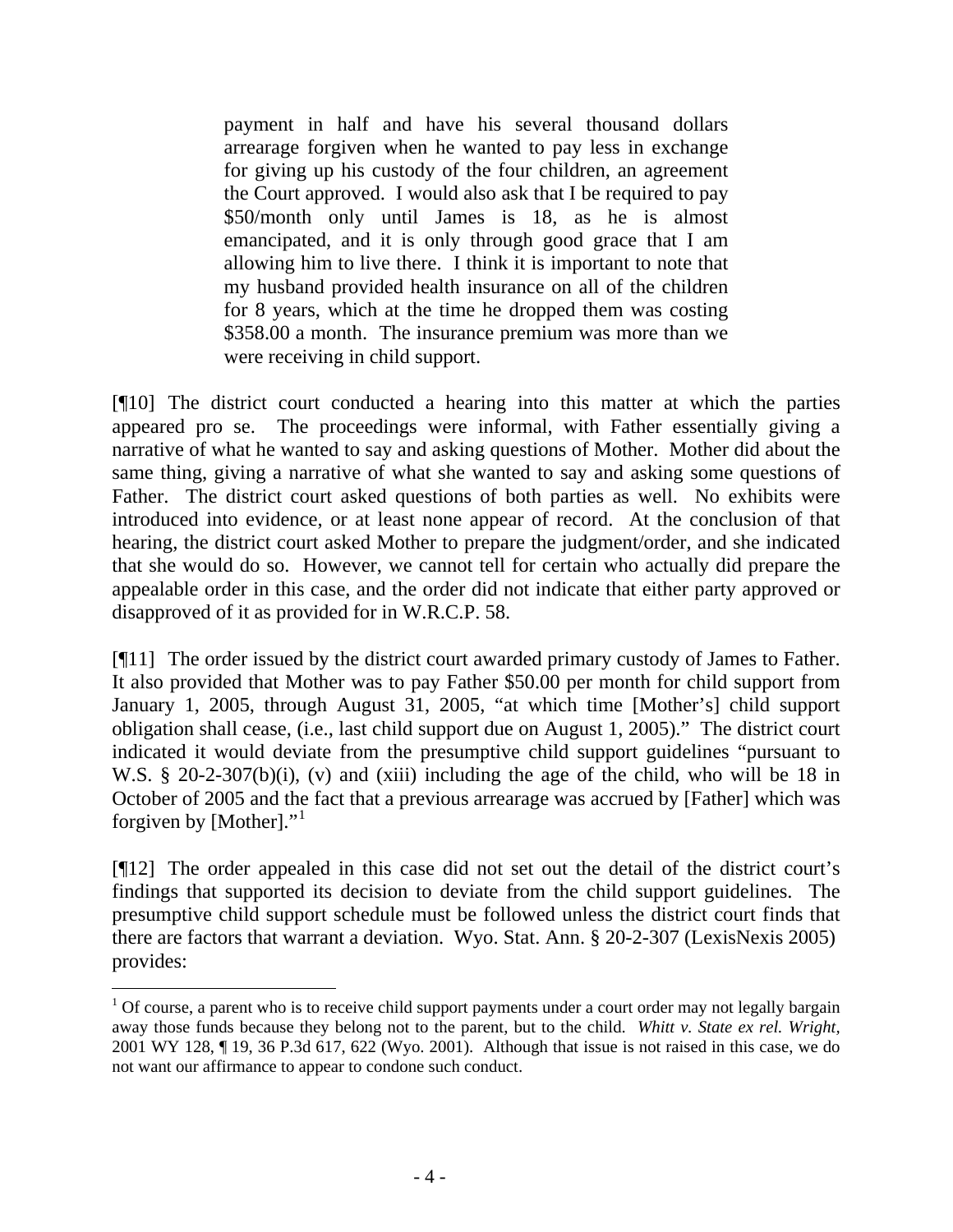payment in half and have his several thousand dollars arrearage forgiven when he wanted to pay less in exchange for giving up his custody of the four children, an agreement the Court approved. I would also ask that I be required to pay \$50/month only until James is 18, as he is almost emancipated, and it is only through good grace that I am allowing him to live there. I think it is important to note that my husband provided health insurance on all of the children for 8 years, which at the time he dropped them was costing \$358.00 a month. The insurance premium was more than we were receiving in child support.

[¶10] The district court conducted a hearing into this matter at which the parties appeared pro se. The proceedings were informal, with Father essentially giving a narrative of what he wanted to say and asking questions of Mother. Mother did about the same thing, giving a narrative of what she wanted to say and asking some questions of Father. The district court asked questions of both parties as well. No exhibits were introduced into evidence, or at least none appear of record. At the conclusion of that hearing, the district court asked Mother to prepare the judgment/order, and she indicated that she would do so. However, we cannot tell for certain who actually did prepare the appealable order in this case, and the order did not indicate that either party approved or disapproved of it as provided for in W.R.C.P. 58.

[¶11] The order issued by the district court awarded primary custody of James to Father. It also provided that Mother was to pay Father \$50.00 per month for child support from January 1, 2005, through August 31, 2005, "at which time [Mother's] child support obligation shall cease, (i.e., last child support due on August 1, 2005)." The district court indicated it would deviate from the presumptive child support guidelines "pursuant to W.S. § 20-2-307(b)(i), (v) and (xiii) including the age of the child, who will be 18 in October of 2005 and the fact that a previous arrearage was accrued by [Father] which was forgiven by [Mother]."[1](#page-5-0)

[¶12] The order appealed in this case did not set out the detail of the district court's findings that supported its decision to deviate from the child support guidelines. The presumptive child support schedule must be followed unless the district court finds that there are factors that warrant a deviation. Wyo. Stat. Ann. § 20-2-307 (LexisNexis 2005) provides:

<span id="page-5-0"></span> $1$  Of course, a parent who is to receive child support payments under a court order may not legally bargain away those funds because they belong not to the parent, but to the child. *Whitt v. State ex rel. Wright,*  2001 WY 128, ¶ 19, 36 P.3d 617, 622 (Wyo. 2001). Although that issue is not raised in this case, we do not want our affirmance to appear to condone such conduct.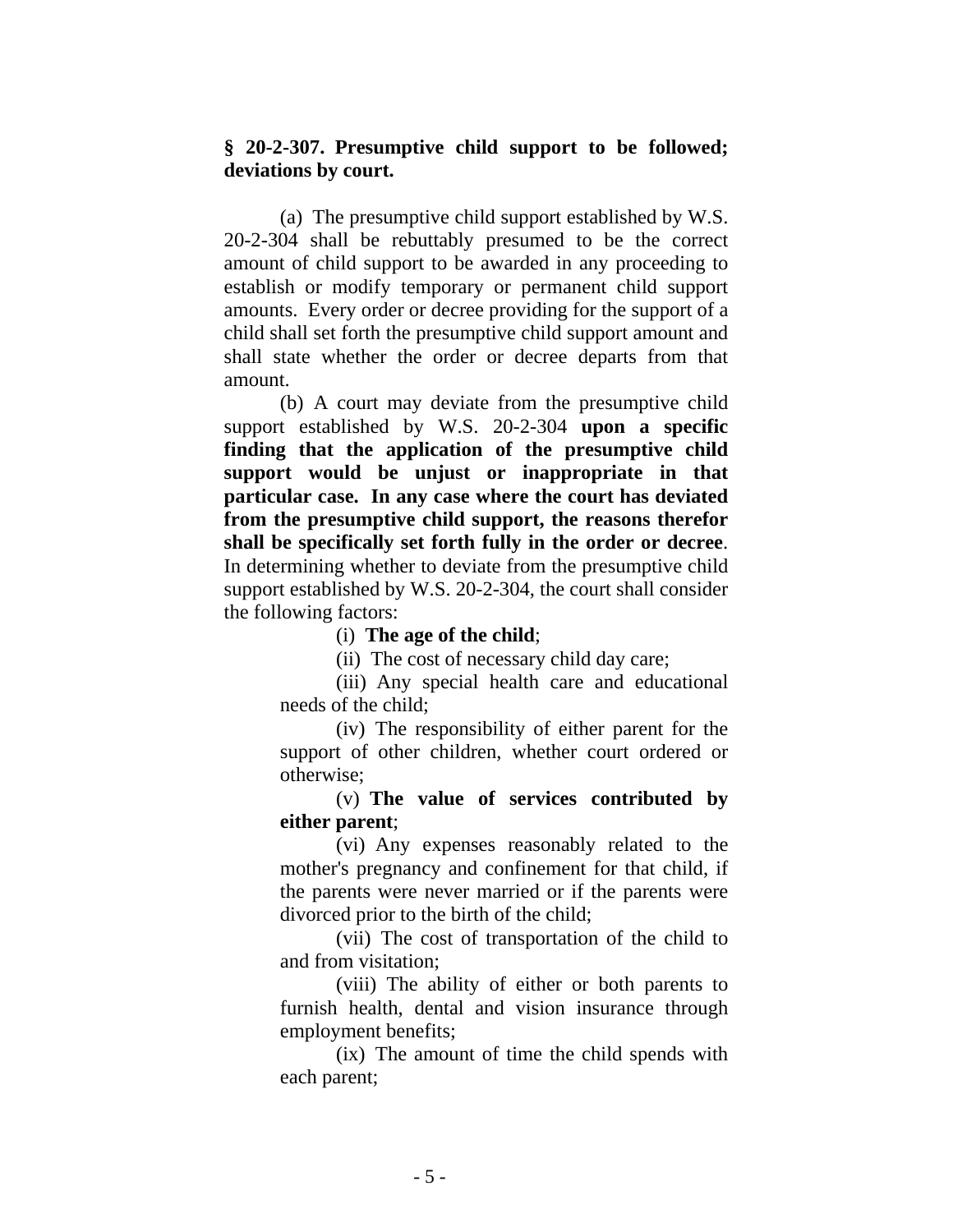## **§ 20-2-307. Presumptive child support to be followed; deviations by court.**

 (a) The presumptive child support established by W.S. 20-2-304 shall be rebuttably presumed to be the correct amount of child support to be awarded in any proceeding to establish or modify temporary or permanent child support amounts. Every order or decree providing for the support of a child shall set forth the presumptive child support amount and shall state whether the order or decree departs from that amount.

 (b) A court may deviate from the presumptive child support established by W.S. 20-2-304 **upon a specific finding that the application of the presumptive child support would be unjust or inappropriate in that particular case. In any case where the court has deviated from the presumptive child support, the reasons therefor shall be specifically set forth fully in the order or decree**. In determining whether to deviate from the presumptive child support established by W.S. 20-2-304, the court shall consider the following factors:

### (i) **The age of the child**;

(ii) The cost of necessary child day care;

 (iii) Any special health care and educational needs of the child;

(iv) The responsibility of either parent for the support of other children, whether court ordered or otherwise;

(v) **The value of services contributed by either parent**;

(vi) Any expenses reasonably related to the mother's pregnancy and confinement for that child, if the parents were never married or if the parents were divorced prior to the birth of the child;

(vii) The cost of transportation of the child to and from visitation;

(viii) The ability of either or both parents to furnish health, dental and vision insurance through employment benefits;

 (ix) The amount of time the child spends with each parent;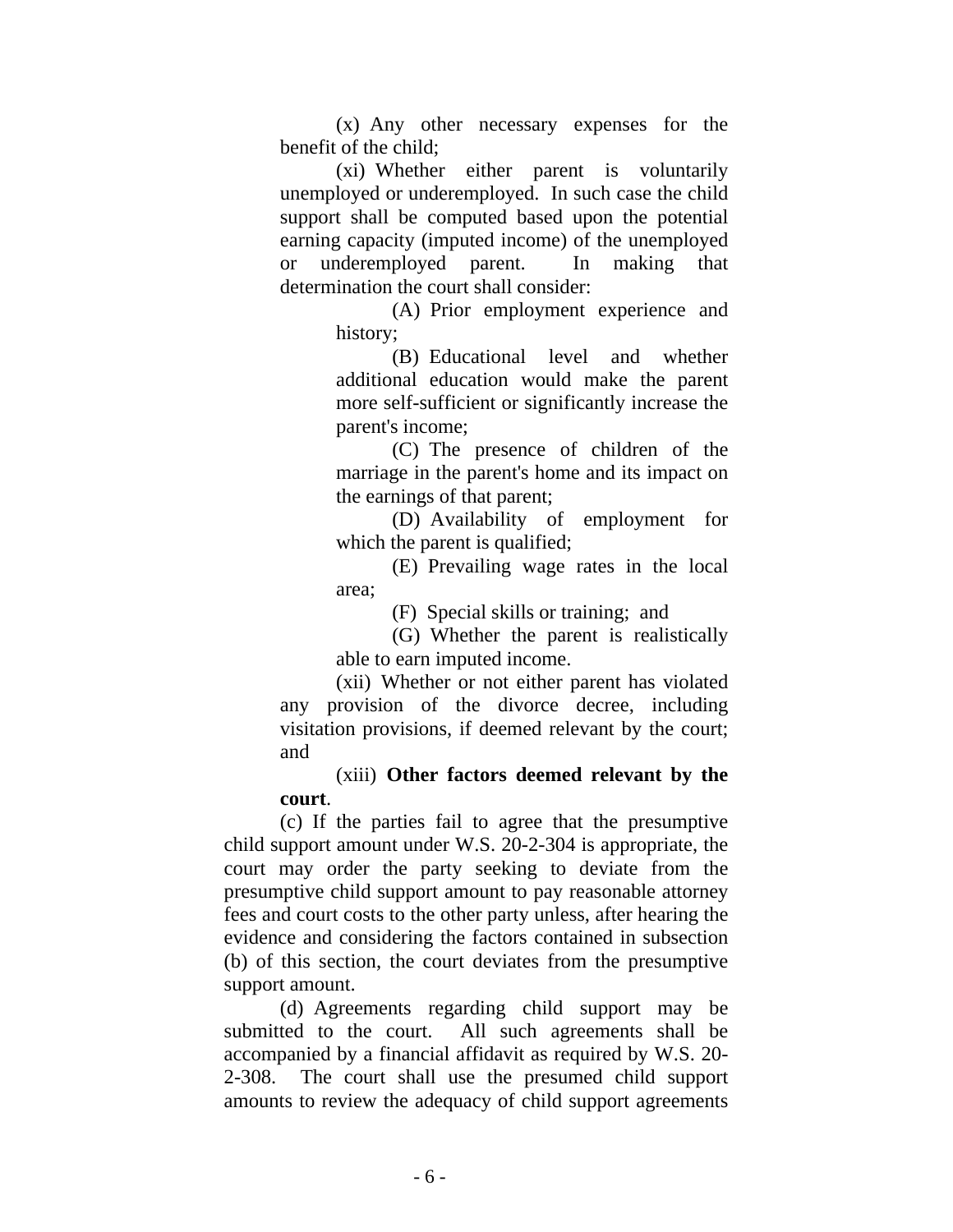(x) Any other necessary expenses for the benefit of the child;

(xi) Whether either parent is voluntarily unemployed or underemployed. In such case the child support shall be computed based upon the potential earning capacity (imputed income) of the unemployed or underemployed parent. In making that determination the court shall consider:

> (A) Prior employment experience and history;

 (B) Educational level and whether additional education would make the parent more self-sufficient or significantly increase the parent's income;

(C) The presence of children of the marriage in the parent's home and its impact on the earnings of that parent;

(D) Availability of employment for which the parent is qualified;

(E) Prevailing wage rates in the local area;

(F) Special skills or training; and

 (G) Whether the parent is realistically able to earn imputed income.

(xii) Whether or not either parent has violated any provision of the divorce decree, including visitation provisions, if deemed relevant by the court; and

## (xiii) **Other factors deemed relevant by the court**.

 (c) If the parties fail to agree that the presumptive child support amount under W.S. 20-2-304 is appropriate, the court may order the party seeking to deviate from the presumptive child support amount to pay reasonable attorney fees and court costs to the other party unless, after hearing the evidence and considering the factors contained in subsection (b) of this section, the court deviates from the presumptive support amount.

 (d) Agreements regarding child support may be submitted to the court. All such agreements shall be accompanied by a financial affidavit as required by W.S. 20- 2-308. The court shall use the presumed child support amounts to review the adequacy of child support agreements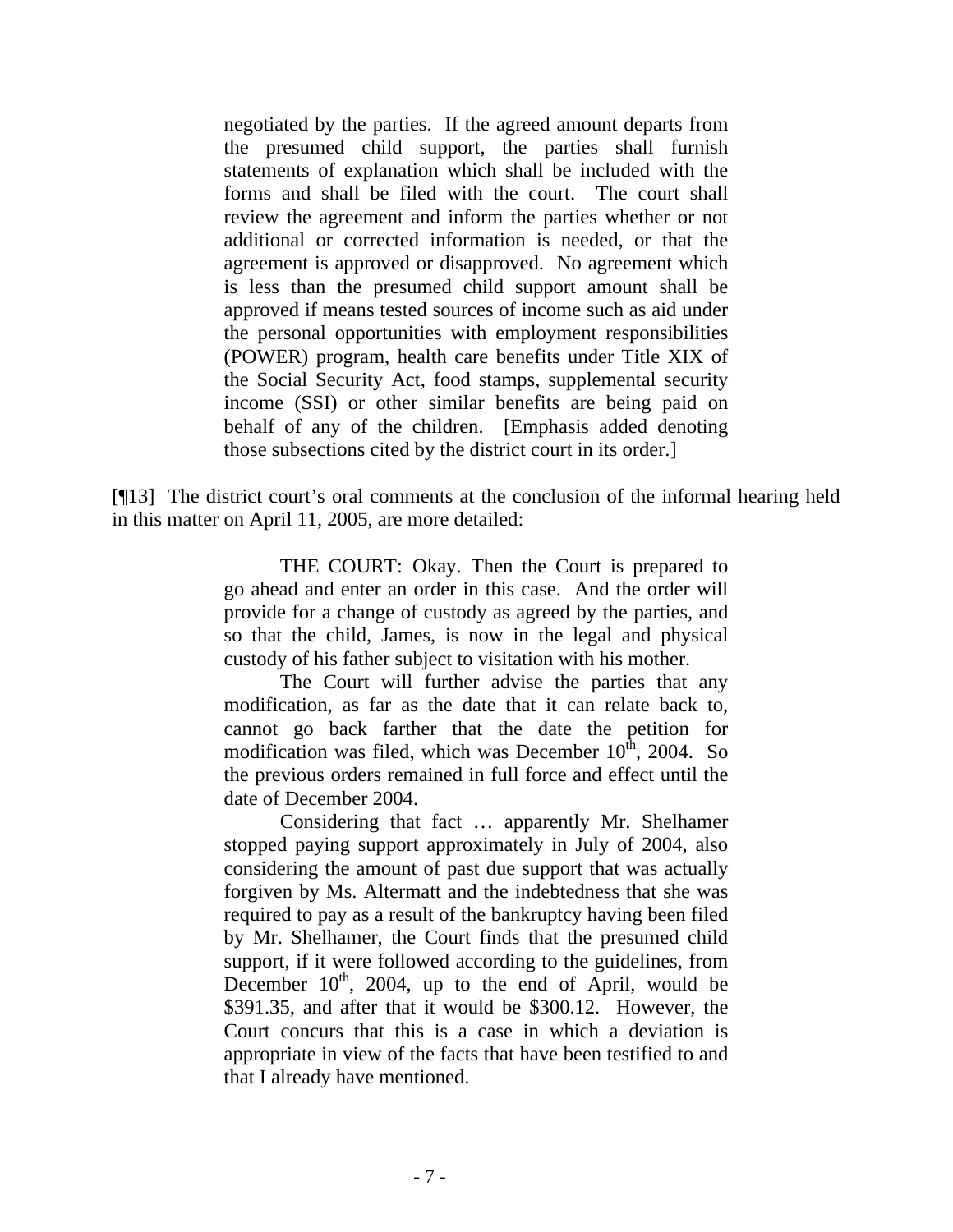negotiated by the parties. If the agreed amount departs from the presumed child support, the parties shall furnish statements of explanation which shall be included with the forms and shall be filed with the court. The court shall review the agreement and inform the parties whether or not additional or corrected information is needed, or that the agreement is approved or disapproved. No agreement which is less than the presumed child support amount shall be approved if means tested sources of income such as aid under the personal opportunities with employment responsibilities (POWER) program, health care benefits under Title XIX of the Social Security Act, food stamps, supplemental security income (SSI) or other similar benefits are being paid on behalf of any of the children. [Emphasis added denoting those subsections cited by the district court in its order.]

[¶13] The district court's oral comments at the conclusion of the informal hearing held in this matter on April 11, 2005, are more detailed:

> THE COURT: Okay. Then the Court is prepared to go ahead and enter an order in this case. And the order will provide for a change of custody as agreed by the parties, and so that the child, James, is now in the legal and physical custody of his father subject to visitation with his mother.

> The Court will further advise the parties that any modification, as far as the date that it can relate back to, cannot go back farther that the date the petition for modification was filed, which was December  $10^{th}$ , 2004. So the previous orders remained in full force and effect until the date of December 2004.

> Considering that fact … apparently Mr. Shelhamer stopped paying support approximately in July of 2004, also considering the amount of past due support that was actually forgiven by Ms. Altermatt and the indebtedness that she was required to pay as a result of the bankruptcy having been filed by Mr. Shelhamer, the Court finds that the presumed child support, if it were followed according to the guidelines, from December  $10<sup>th</sup>$ , 2004, up to the end of April, would be \$391.35, and after that it would be \$300.12. However, the Court concurs that this is a case in which a deviation is appropriate in view of the facts that have been testified to and that I already have mentioned.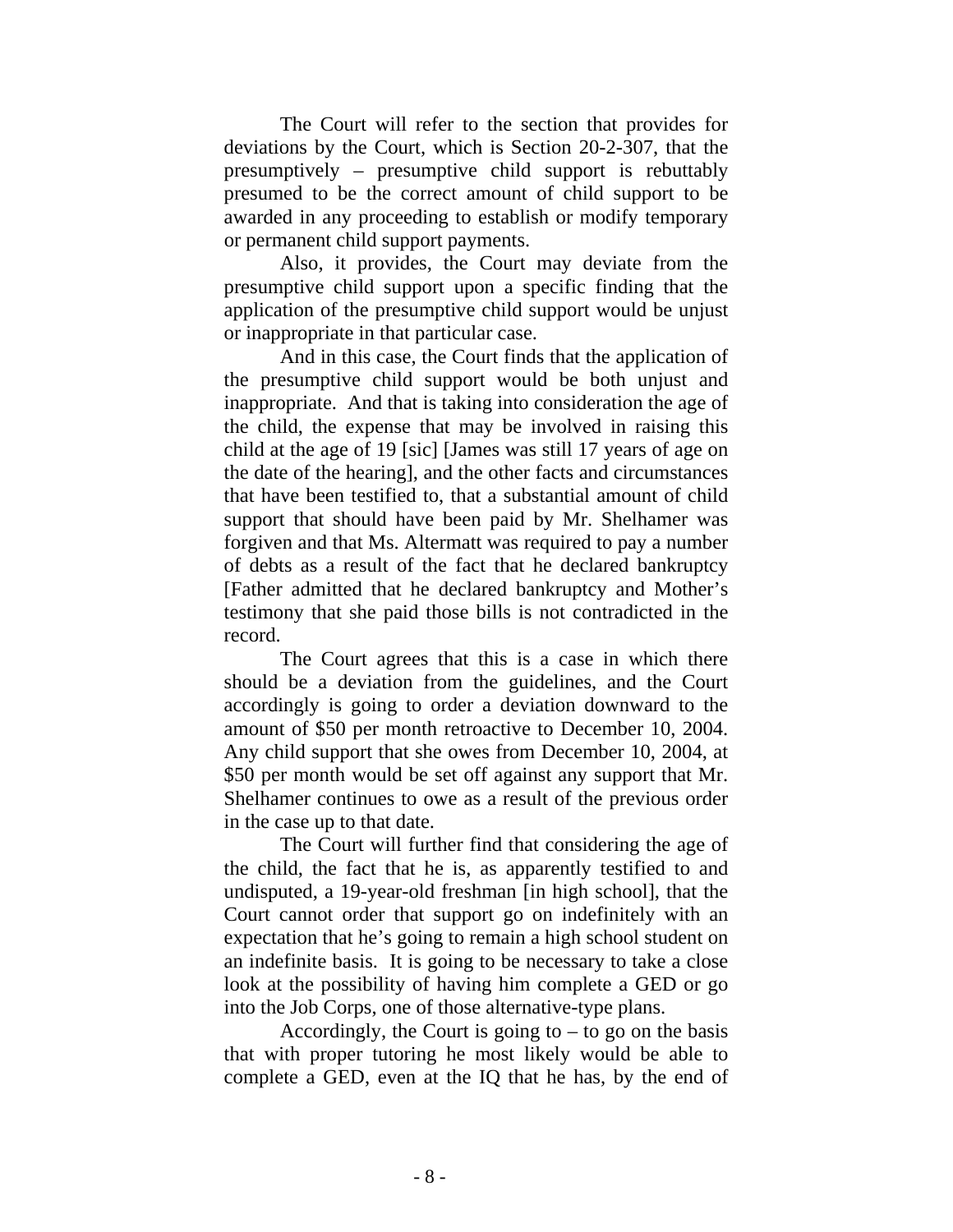The Court will refer to the section that provides for deviations by the Court, which is Section 20-2-307, that the presumptively – presumptive child support is rebuttably presumed to be the correct amount of child support to be awarded in any proceeding to establish or modify temporary or permanent child support payments.

 Also, it provides, the Court may deviate from the presumptive child support upon a specific finding that the application of the presumptive child support would be unjust or inappropriate in that particular case.

 And in this case, the Court finds that the application of the presumptive child support would be both unjust and inappropriate. And that is taking into consideration the age of the child, the expense that may be involved in raising this child at the age of 19 [sic] [James was still 17 years of age on the date of the hearing], and the other facts and circumstances that have been testified to, that a substantial amount of child support that should have been paid by Mr. Shelhamer was forgiven and that Ms. Altermatt was required to pay a number of debts as a result of the fact that he declared bankruptcy [Father admitted that he declared bankruptcy and Mother's testimony that she paid those bills is not contradicted in the record.

 The Court agrees that this is a case in which there should be a deviation from the guidelines, and the Court accordingly is going to order a deviation downward to the amount of \$50 per month retroactive to December 10, 2004. Any child support that she owes from December 10, 2004, at \$50 per month would be set off against any support that Mr. Shelhamer continues to owe as a result of the previous order in the case up to that date.

 The Court will further find that considering the age of the child, the fact that he is, as apparently testified to and undisputed, a 19-year-old freshman [in high school], that the Court cannot order that support go on indefinitely with an expectation that he's going to remain a high school student on an indefinite basis. It is going to be necessary to take a close look at the possibility of having him complete a GED or go into the Job Corps, one of those alternative-type plans.

Accordingly, the Court is going to  $-$  to go on the basis that with proper tutoring he most likely would be able to complete a GED, even at the IQ that he has, by the end of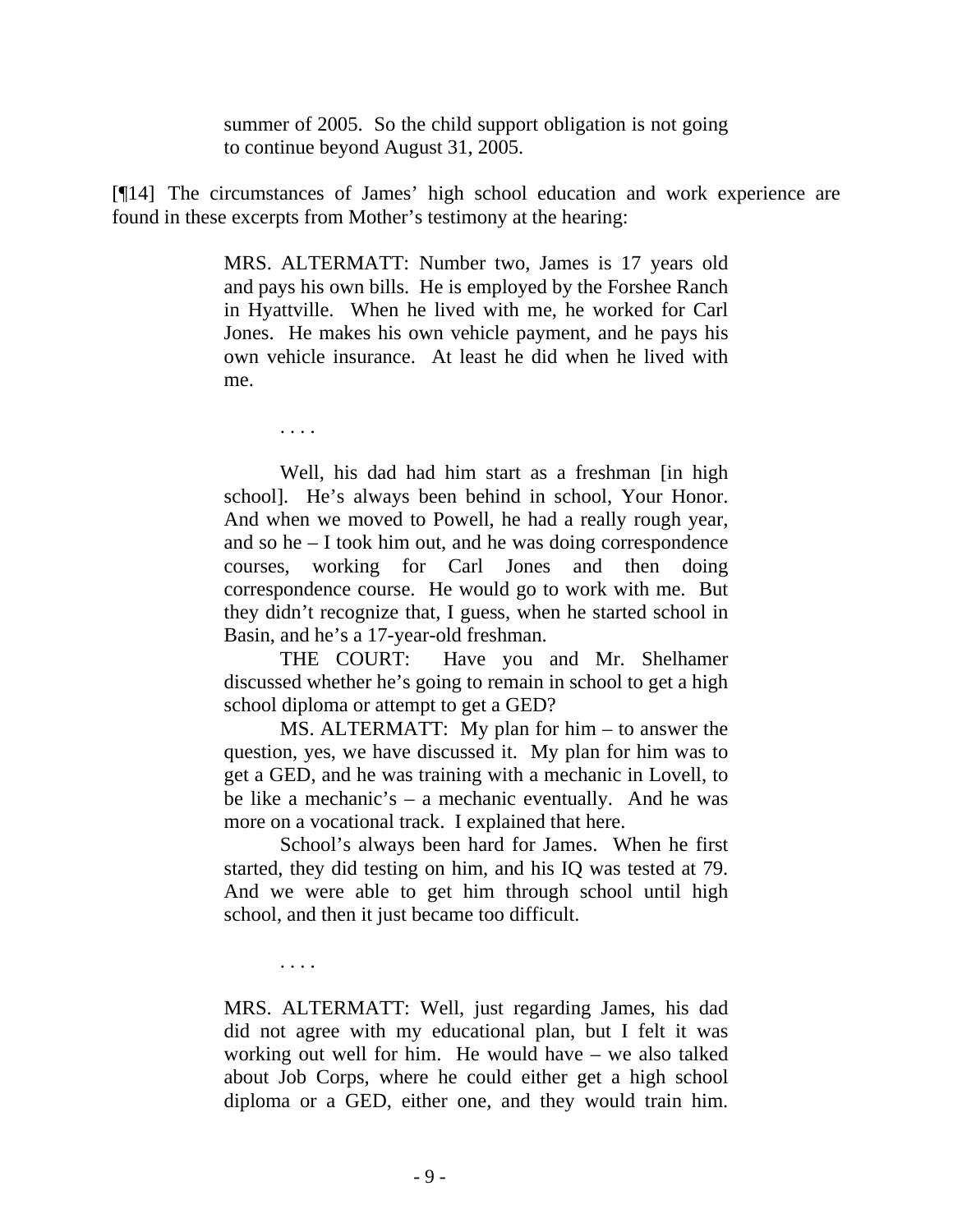summer of 2005. So the child support obligation is not going to continue beyond August 31, 2005.

[¶14] The circumstances of James' high school education and work experience are found in these excerpts from Mother's testimony at the hearing:

> MRS. ALTERMATT: Number two, James is 17 years old and pays his own bills. He is employed by the Forshee Ranch in Hyattville. When he lived with me, he worked for Carl Jones. He makes his own vehicle payment, and he pays his own vehicle insurance. At least he did when he lived with me.

. . . .

 Well, his dad had him start as a freshman [in high school]. He's always been behind in school, Your Honor. And when we moved to Powell, he had a really rough year, and so he – I took him out, and he was doing correspondence courses, working for Carl Jones and then doing correspondence course. He would go to work with me. But they didn't recognize that, I guess, when he started school in Basin, and he's a 17-year-old freshman.

THE COURT: Have you and Mr. Shelhamer discussed whether he's going to remain in school to get a high school diploma or attempt to get a GED?

 MS. ALTERMATT: My plan for him – to answer the question, yes, we have discussed it. My plan for him was to get a GED, and he was training with a mechanic in Lovell, to be like a mechanic's – a mechanic eventually. And he was more on a vocational track. I explained that here.

 School's always been hard for James. When he first started, they did testing on him, and his IQ was tested at 79. And we were able to get him through school until high school, and then it just became too difficult.

. . . .

MRS. ALTERMATT: Well, just regarding James, his dad did not agree with my educational plan, but I felt it was working out well for him. He would have – we also talked about Job Corps, where he could either get a high school diploma or a GED, either one, and they would train him.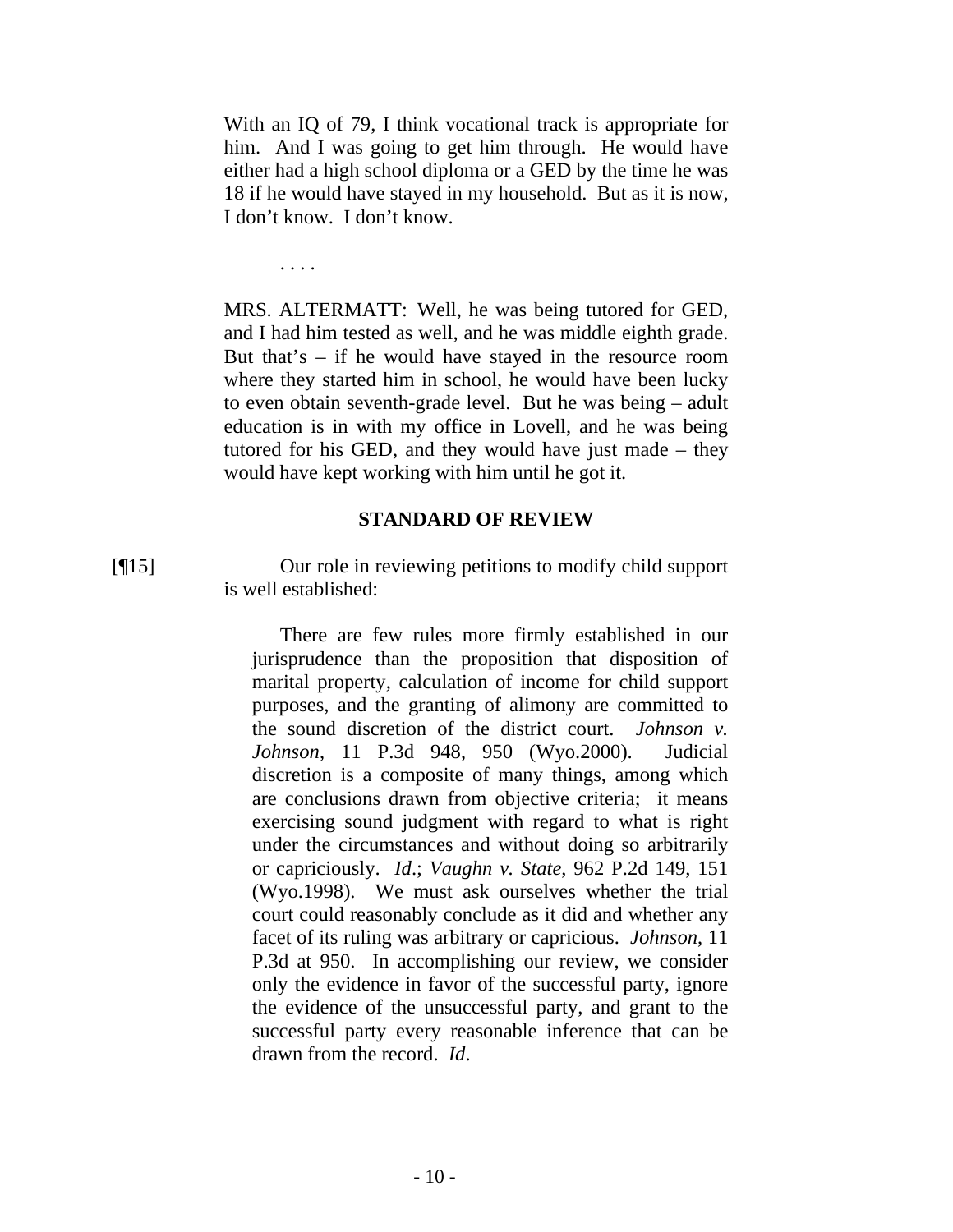With an IQ of 79, I think vocational track is appropriate for him. And I was going to get him through. He would have either had a high school diploma or a GED by the time he was 18 if he would have stayed in my household. But as it is now, I don't know. I don't know.

. . . .

MRS. ALTERMATT: Well, he was being tutored for GED, and I had him tested as well, and he was middle eighth grade. But that's – if he would have stayed in the resource room where they started him in school, he would have been lucky to even obtain seventh-grade level. But he was being – adult education is in with my office in Lovell, and he was being tutored for his GED, and they would have just made – they would have kept working with him until he got it.

#### **STANDARD OF REVIEW**

[¶15] Our role in reviewing petitions to modify child support is well established:

> There are few rules more firmly established in our jurisprudence than the proposition that disposition of marital property, calculation of income for child support purposes, and the granting of alimony are committed to the sound discretion of the district court. *Johnson v. Johnson*, 11 P.3d 948, 950 (Wyo.2000). Judicial discretion is a composite of many things, among which are conclusions drawn from objective criteria; it means exercising sound judgment with regard to what is right under the circumstances and without doing so arbitrarily or capriciously. *Id*.; *Vaughn v. State*, 962 P.2d 149, 151 (Wyo.1998). We must ask ourselves whether the trial court could reasonably conclude as it did and whether any facet of its ruling was arbitrary or capricious. *Johnson*, 11 P.3d at 950. In accomplishing our review, we consider only the evidence in favor of the successful party, ignore the evidence of the unsuccessful party, and grant to the successful party every reasonable inference that can be drawn from the record. *Id*.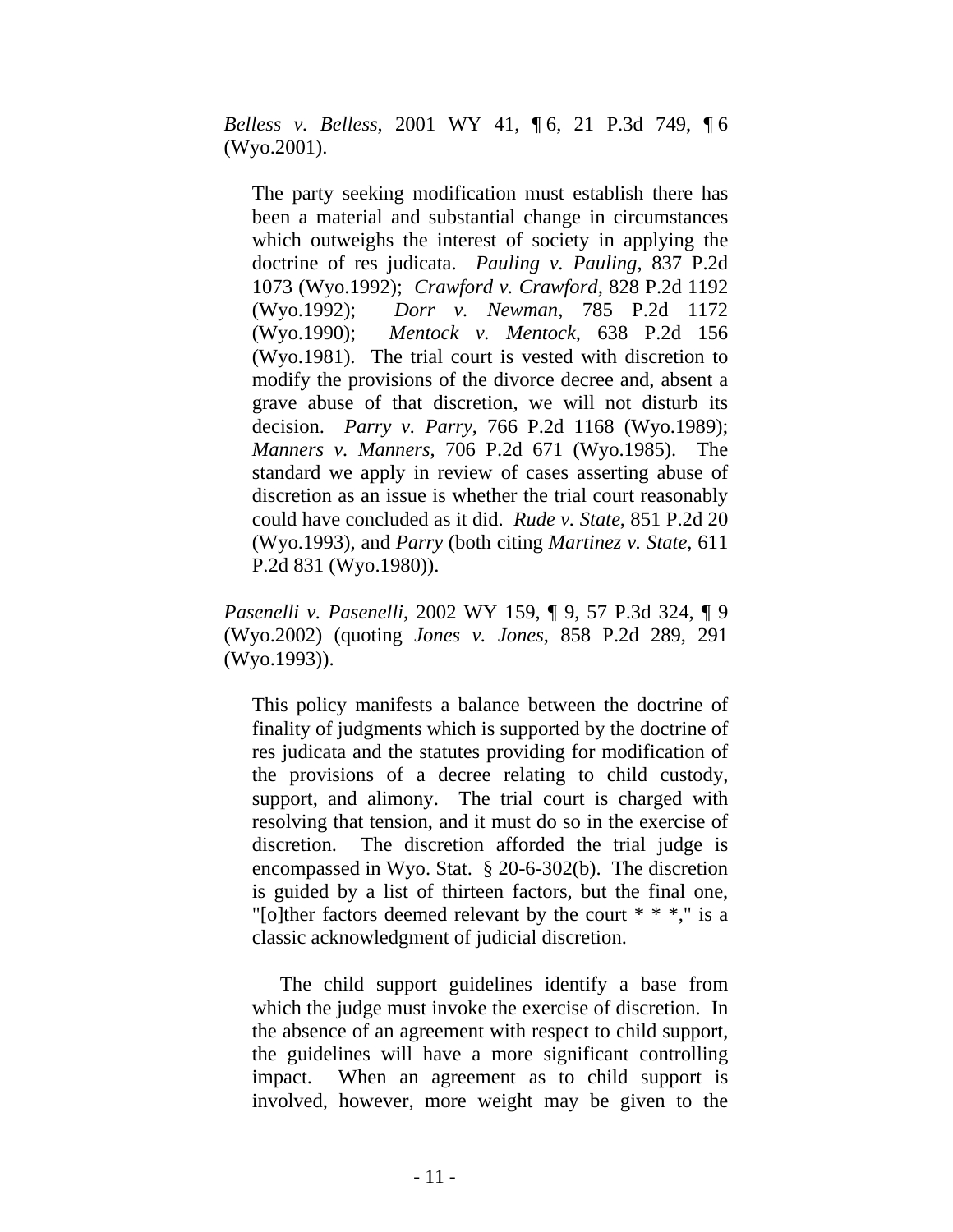*Belless v. Belless*, 2001 WY 41, ¶ 6, 21 P.3d 749, ¶ 6 (Wyo.2001).

The party seeking modification must establish there has been a material and substantial change in circumstances which outweighs the interest of society in applying the doctrine of res judicata. *Pauling v. Pauling*, 837 P.2d 1073 (Wyo.1992); *Crawford v. Crawford*, 828 P.2d 1192 (Wyo.1992); *Dorr v. Newman*, 785 P.2d 1172 (Wyo.1990); *Mentock v. Mentock*, 638 P.2d 156 (Wyo.1981). The trial court is vested with discretion to modify the provisions of the divorce decree and, absent a grave abuse of that discretion, we will not disturb its decision. *Parry v. Parry*, 766 P.2d 1168 (Wyo.1989); *Manners v. Manners*, 706 P.2d 671 (Wyo.1985). The standard we apply in review of cases asserting abuse of discretion as an issue is whether the trial court reasonably could have concluded as it did. *Rude v. State*, 851 P.2d 20 (Wyo.1993), and *Parry* (both citing *Martinez v. State*, 611 P.2d 831 (Wyo.1980)).

*Pasenelli v. Pasenelli*, 2002 WY 159, ¶ 9, 57 P.3d 324, ¶ 9 (Wyo.2002) (quoting *Jones v. Jones*, 858 P.2d 289, 291 (Wyo.1993)).

This policy manifests a balance between the doctrine of finality of judgments which is supported by the doctrine of res judicata and the statutes providing for modification of the provisions of a decree relating to child custody, support, and alimony. The trial court is charged with resolving that tension, and it must do so in the exercise of discretion. The discretion afforded the trial judge is encompassed in Wyo. Stat. § 20-6-302(b). The discretion is guided by a list of thirteen factors, but the final one, "[o]ther factors deemed relevant by the court  $* * *$ ," is a classic acknowledgment of judicial discretion.

 The child support guidelines identify a base from which the judge must invoke the exercise of discretion. In the absence of an agreement with respect to child support, the guidelines will have a more significant controlling impact. When an agreement as to child support is involved, however, more weight may be given to the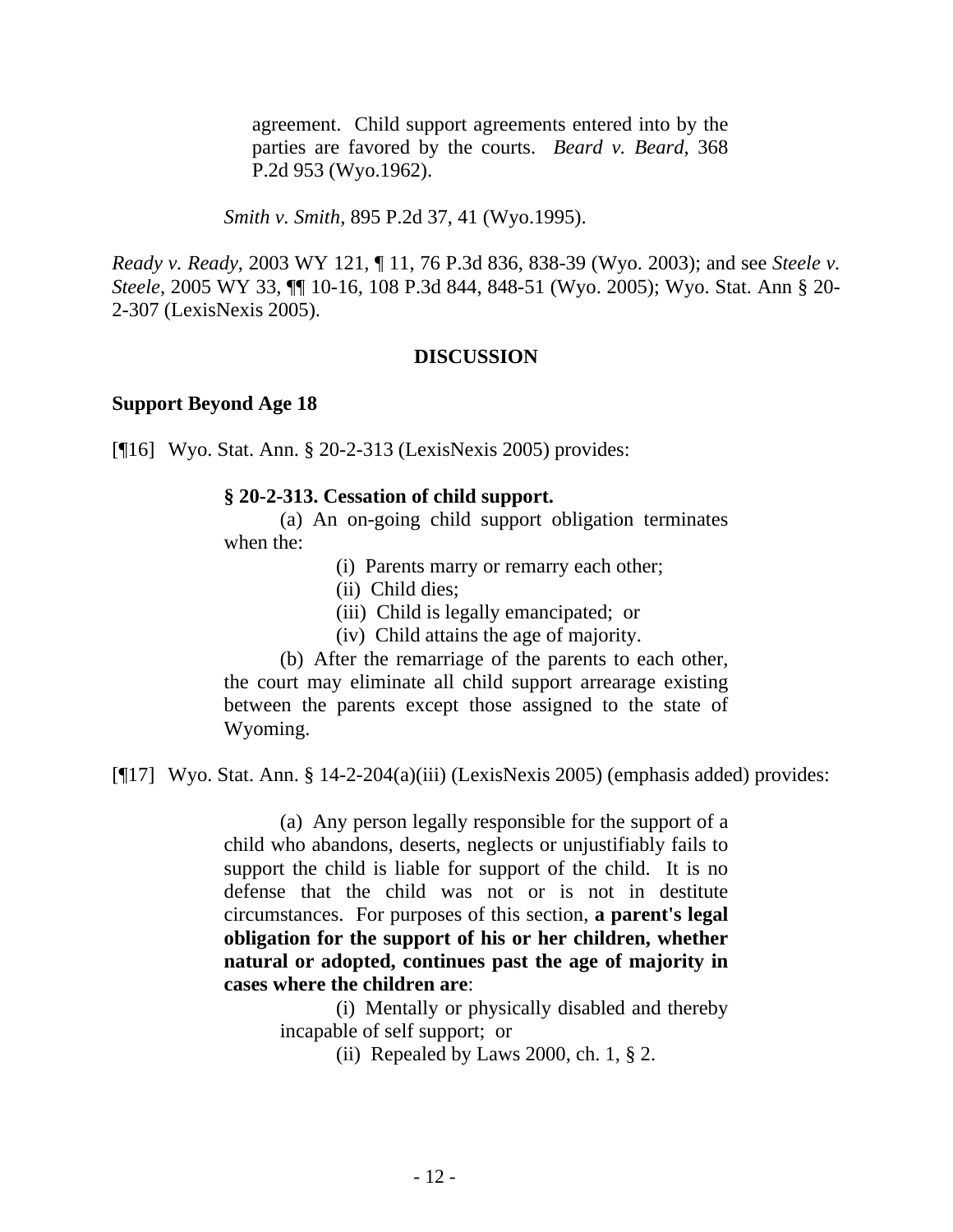agreement. Child support agreements entered into by the parties are favored by the courts. *Beard v. Beard*, 368 P.2d 953 (Wyo.1962).

*Smith v. Smith*, 895 P.2d 37, 41 (Wyo.1995).

*Ready v. Ready*, 2003 WY 121, ¶ 11, 76 P.3d 836, 838-39 (Wyo. 2003); and see *Steele v. Steele*, 2005 WY 33, ¶¶ 10-16, 108 P.3d 844, 848-51 (Wyo. 2005); Wyo. Stat. Ann § 20- 2-307 (LexisNexis 2005).

### **DISCUSSION**

#### **Support Beyond Age 18**

[¶16] Wyo. Stat. Ann. § 20-2-313 (LexisNexis 2005) provides:

#### **§ 20-2-313. Cessation of child support.**

 (a) An on-going child support obligation terminates when the:

(i) Parents marry or remarry each other;

(ii) Child dies;

(iii) Child is legally emancipated; or

(iv) Child attains the age of majority.

 (b) After the remarriage of the parents to each other, the court may eliminate all child support arrearage existing between the parents except those assigned to the state of Wyoming.

[¶17] Wyo. Stat. Ann. § 14-2-204(a)(iii) (LexisNexis 2005) (emphasis added) provides:

(a) Any person legally responsible for the support of a child who abandons, deserts, neglects or unjustifiably fails to support the child is liable for support of the child. It is no defense that the child was not or is not in destitute circumstances. For purposes of this section, **a parent's legal obligation for the support of his or her children, whether natural or adopted, continues past the age of majority in cases where the children are**:

> (i) Mentally or physically disabled and thereby incapable of self support; or

> > (ii) Repealed by Laws 2000, ch. 1, § 2.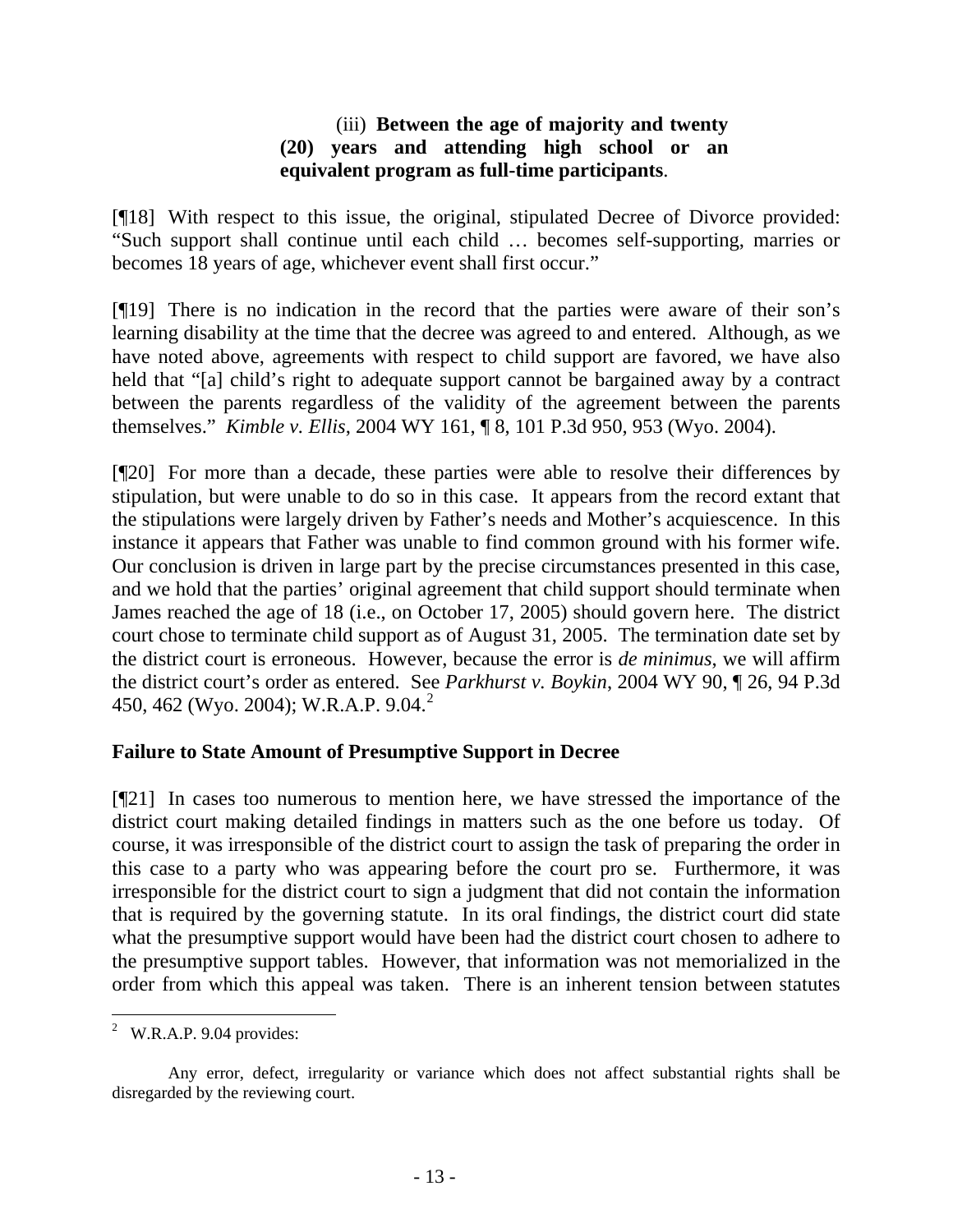# (iii) **Between the age of majority and twenty (20) years and attending high school or an equivalent program as full-time participants**.

[¶18] With respect to this issue, the original, stipulated Decree of Divorce provided: "Such support shall continue until each child … becomes self-supporting, marries or becomes 18 years of age, whichever event shall first occur."

[¶19] There is no indication in the record that the parties were aware of their son's learning disability at the time that the decree was agreed to and entered. Although, as we have noted above, agreements with respect to child support are favored, we have also held that "[a] child's right to adequate support cannot be bargained away by a contract between the parents regardless of the validity of the agreement between the parents themselves." *Kimble v. Ellis*, 2004 WY 161, ¶ 8, 101 P.3d 950, 953 (Wyo. 2004).

[¶20] For more than a decade, these parties were able to resolve their differences by stipulation, but were unable to do so in this case. It appears from the record extant that the stipulations were largely driven by Father's needs and Mother's acquiescence. In this instance it appears that Father was unable to find common ground with his former wife. Our conclusion is driven in large part by the precise circumstances presented in this case, and we hold that the parties' original agreement that child support should terminate when James reached the age of 18 (i.e., on October 17, 2005) should govern here. The district court chose to terminate child support as of August 31, 2005. The termination date set by the district court is erroneous. However, because the error is *de minimus*, we will affirm the district court's order as entered. See *Parkhurst v. Boykin*, 2004 WY 90, ¶ 26, 94 P.3d 450, 462 (Wyo. 2004); W.R.A.P. 9.04.[2](#page-14-0)

### **Failure to State Amount of Presumptive Support in Decree**

[¶21] In cases too numerous to mention here, we have stressed the importance of the district court making detailed findings in matters such as the one before us today. Of course, it was irresponsible of the district court to assign the task of preparing the order in this case to a party who was appearing before the court pro se. Furthermore, it was irresponsible for the district court to sign a judgment that did not contain the information that is required by the governing statute. In its oral findings, the district court did state what the presumptive support would have been had the district court chosen to adhere to the presumptive support tables. However, that information was not memorialized in the order from which this appeal was taken. There is an inherent tension between statutes

<span id="page-14-0"></span><sup>&</sup>lt;sup>2</sup> W.R.A.P. 9.04 provides:

Any error, defect, irregularity or variance which does not affect substantial rights shall be disregarded by the reviewing court.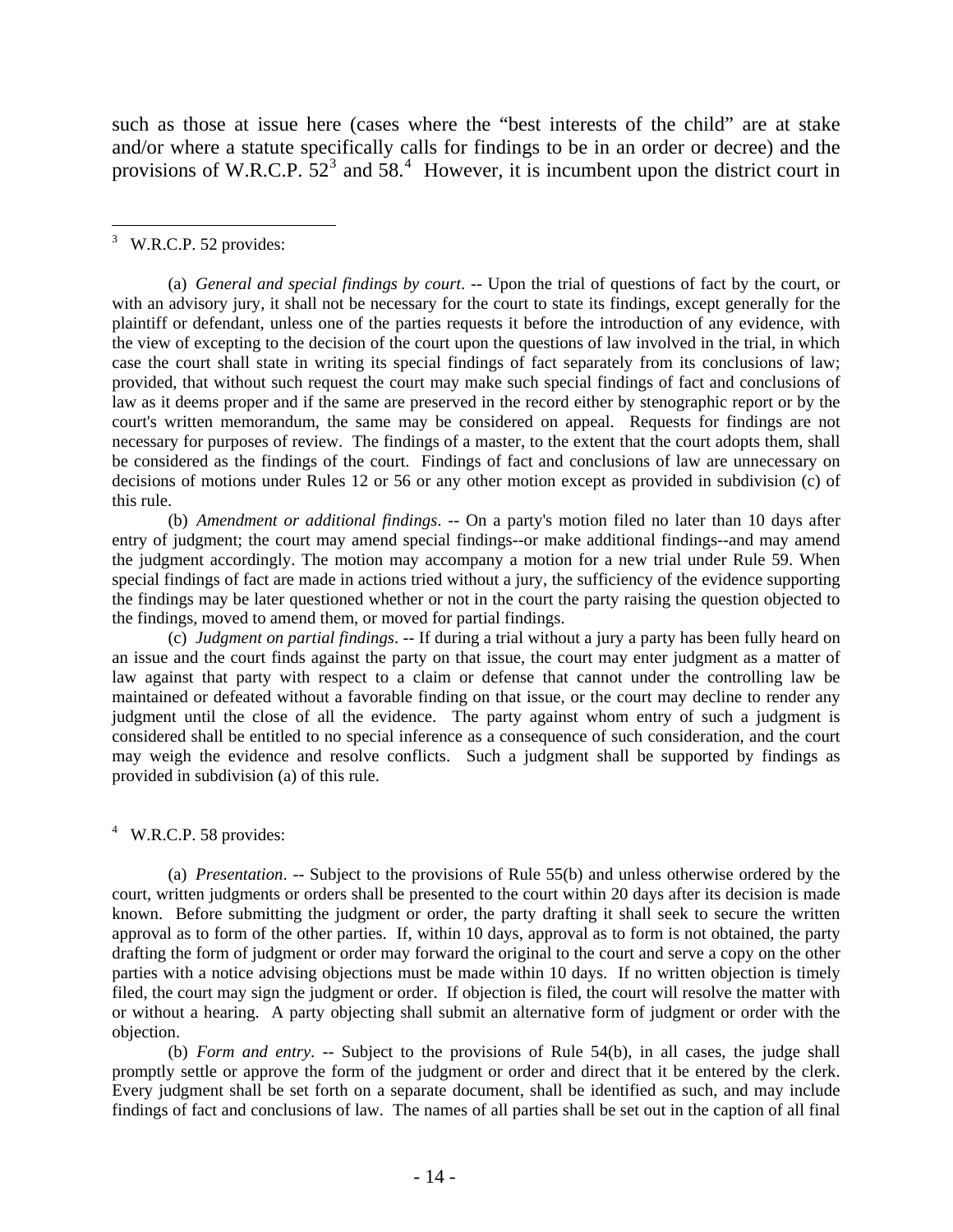such as those at issue here (cases where the "best interests of the child" are at stake and/or where a statute specifically calls for findings to be in an order or decree) and the provisions of W.R.C.P.  $52^3$  $52^3$  and  $58^4$  $58^4$ . However, it is incumbent upon the district court in

<span id="page-15-0"></span>3 W.R.C.P. 52 provides:

 $\overline{a}$ 

(a) *General and special findings by court*. -- Upon the trial of questions of fact by the court, or with an advisory jury, it shall not be necessary for the court to state its findings, except generally for the plaintiff or defendant, unless one of the parties requests it before the introduction of any evidence, with the view of excepting to the decision of the court upon the questions of law involved in the trial, in which case the court shall state in writing its special findings of fact separately from its conclusions of law; provided, that without such request the court may make such special findings of fact and conclusions of law as it deems proper and if the same are preserved in the record either by stenographic report or by the court's written memorandum, the same may be considered on appeal. Requests for findings are not necessary for purposes of review. The findings of a master, to the extent that the court adopts them, shall be considered as the findings of the court. Findings of fact and conclusions of law are unnecessary on decisions of motions under Rules 12 or 56 or any other motion except as provided in subdivision (c) of this rule.

 (b) *Amendment or additional findings*. -- On a party's motion filed no later than 10 days after entry of judgment; the court may amend special findings--or make additional findings--and may amend the judgment accordingly. The motion may accompany a motion for a new trial under Rule 59. When special findings of fact are made in actions tried without a jury, the sufficiency of the evidence supporting the findings may be later questioned whether or not in the court the party raising the question objected to the findings, moved to amend them, or moved for partial findings.

 (c) *Judgment on partial findings*. -- If during a trial without a jury a party has been fully heard on an issue and the court finds against the party on that issue, the court may enter judgment as a matter of law against that party with respect to a claim or defense that cannot under the controlling law be maintained or defeated without a favorable finding on that issue, or the court may decline to render any judgment until the close of all the evidence. The party against whom entry of such a judgment is considered shall be entitled to no special inference as a consequence of such consideration, and the court may weigh the evidence and resolve conflicts. Such a judgment shall be supported by findings as provided in subdivision (a) of this rule.

<span id="page-15-1"></span><sup>4</sup> W.R.C.P. 58 provides:

(a) *Presentation*. -- Subject to the provisions of Rule 55(b) and unless otherwise ordered by the court, written judgments or orders shall be presented to the court within 20 days after its decision is made known. Before submitting the judgment or order, the party drafting it shall seek to secure the written approval as to form of the other parties. If, within 10 days, approval as to form is not obtained, the party drafting the form of judgment or order may forward the original to the court and serve a copy on the other parties with a notice advising objections must be made within 10 days. If no written objection is timely filed, the court may sign the judgment or order. If objection is filed, the court will resolve the matter with or without a hearing. A party objecting shall submit an alternative form of judgment or order with the objection.

 (b) *Form and entry*. -- Subject to the provisions of Rule 54(b), in all cases, the judge shall promptly settle or approve the form of the judgment or order and direct that it be entered by the clerk. Every judgment shall be set forth on a separate document, shall be identified as such, and may include findings of fact and conclusions of law. The names of all parties shall be set out in the caption of all final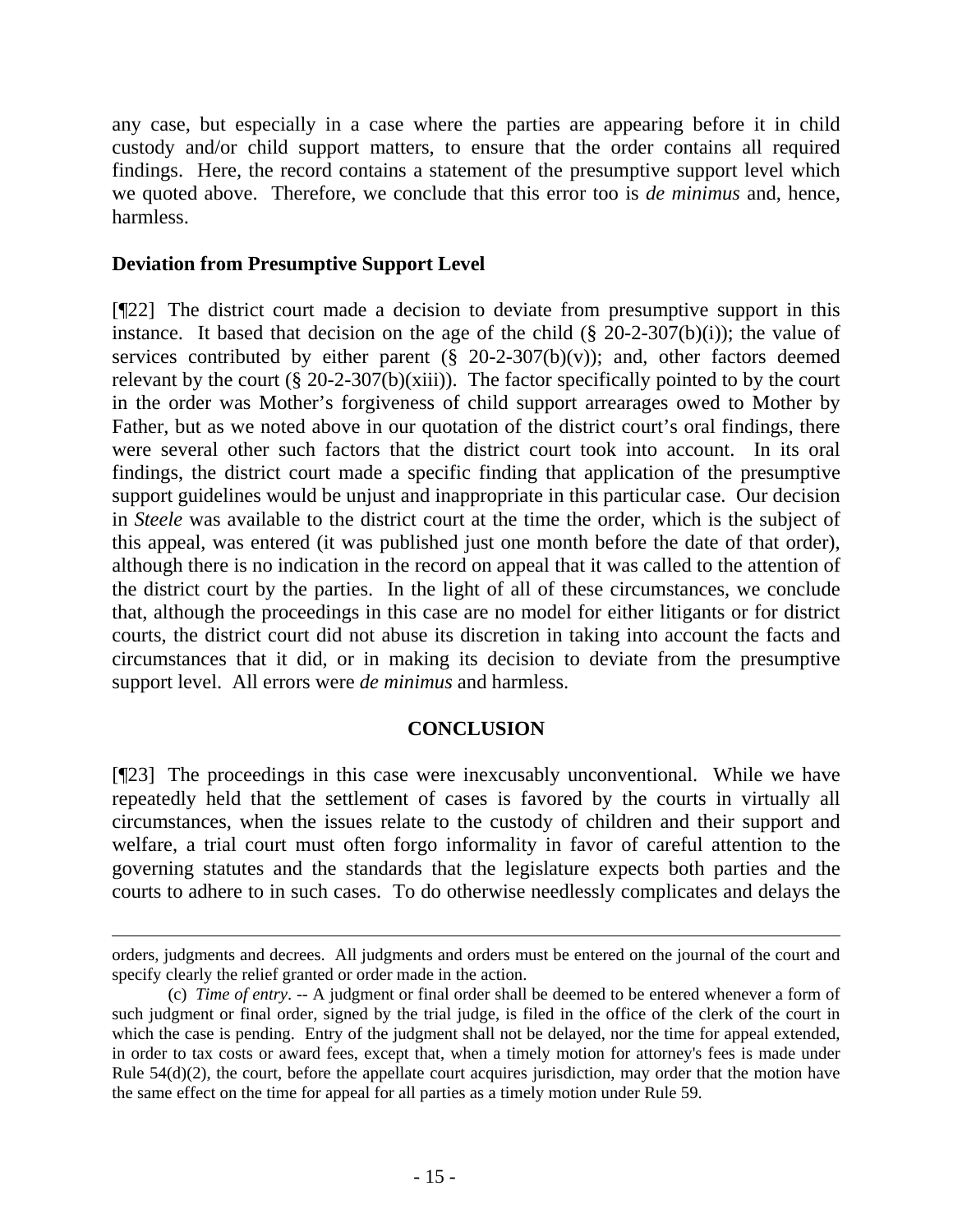any case, but especially in a case where the parties are appearing before it in child custody and/or child support matters, to ensure that the order contains all required findings. Here, the record contains a statement of the presumptive support level which we quoted above. Therefore, we conclude that this error too is *de minimus* and, hence, harmless.

## **Deviation from Presumptive Support Level**

[¶22] The district court made a decision to deviate from presumptive support in this instance. It based that decision on the age of the child  $(\S$  20-2-307(b)(i)); the value of services contributed by either parent  $(\S$  20-2-307(b)(v)); and, other factors deemed relevant by the court  $(\S 20-2-307(b)(xiii))$ . The factor specifically pointed to by the court in the order was Mother's forgiveness of child support arrearages owed to Mother by Father, but as we noted above in our quotation of the district court's oral findings, there were several other such factors that the district court took into account. In its oral findings, the district court made a specific finding that application of the presumptive support guidelines would be unjust and inappropriate in this particular case. Our decision in *Steele* was available to the district court at the time the order, which is the subject of this appeal, was entered (it was published just one month before the date of that order), although there is no indication in the record on appeal that it was called to the attention of the district court by the parties. In the light of all of these circumstances, we conclude that, although the proceedings in this case are no model for either litigants or for district courts, the district court did not abuse its discretion in taking into account the facts and circumstances that it did, or in making its decision to deviate from the presumptive support level. All errors were *de minimus* and harmless.

### **CONCLUSION**

[¶23] The proceedings in this case were inexcusably unconventional. While we have repeatedly held that the settlement of cases is favored by the courts in virtually all circumstances, when the issues relate to the custody of children and their support and welfare, a trial court must often forgo informality in favor of careful attention to the governing statutes and the standards that the legislature expects both parties and the courts to adhere to in such cases. To do otherwise needlessly complicates and delays the

orders, judgments and decrees. All judgments and orders must be entered on the journal of the court and specify clearly the relief granted or order made in the action.

 <sup>(</sup>c) *Time of entry*. -- A judgment or final order shall be deemed to be entered whenever a form of such judgment or final order, signed by the trial judge, is filed in the office of the clerk of the court in which the case is pending. Entry of the judgment shall not be delayed, nor the time for appeal extended, in order to tax costs or award fees, except that, when a timely motion for attorney's fees is made under Rule  $54(d)(2)$ , the court, before the appellate court acquires jurisdiction, may order that the motion have the same effect on the time for appeal for all parties as a timely motion under Rule 59.